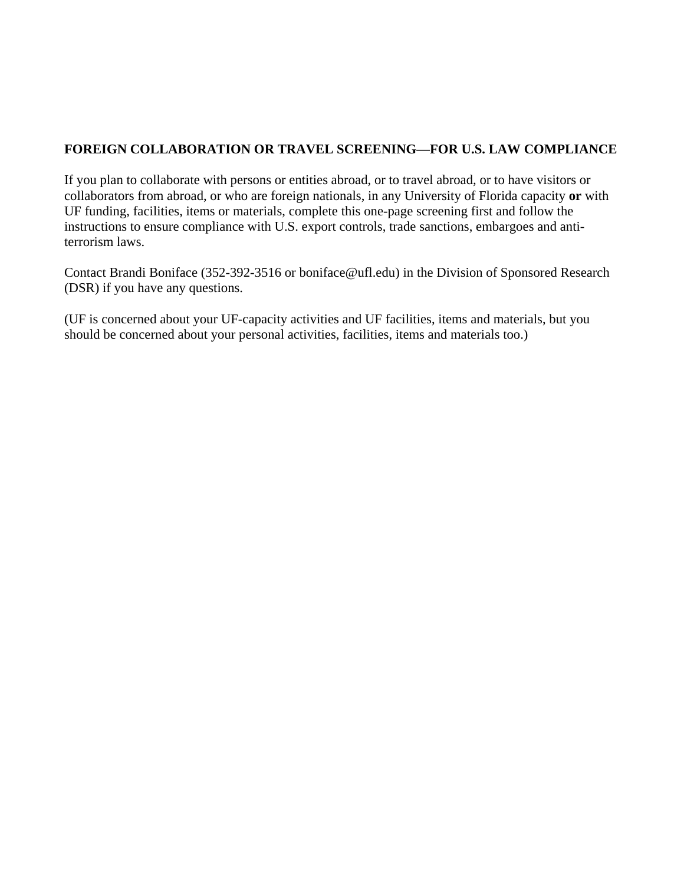## **FOREIGN COLLABORATION OR TRAVEL SCREENING—FOR U.S. LAW COMPLIANCE**

If you plan to collaborate with persons or entities abroad, or to travel abroad, or to have visitors or collaborators from abroad, or who are foreign nationals, in any University of Florida capacity **or** with UF funding, facilities, items or materials, complete this one-page screening first and follow the instructions to ensure compliance with U.S. export controls, trade sanctions, embargoes and antiterrorism laws.

Contact Brandi Boniface (352-392-3516 or boniface@ufl.edu) in the Division of Sponsored Research (DSR) if you have any questions.

(UF is concerned about your UF-capacity activities and UF facilities, items and materials, but you should be concerned about your personal activities, facilities, items and materials too.)